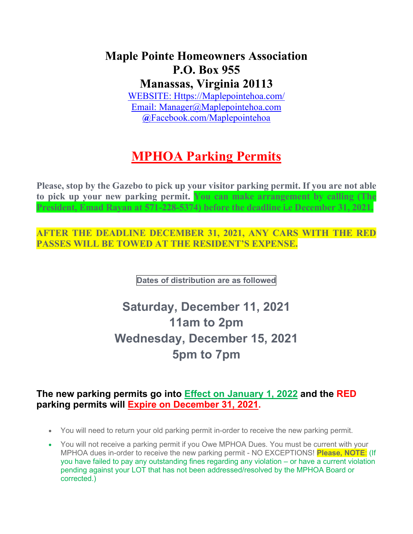## **Maple Pointe Homeowners Association P.O. Box 955 Manassas, Virginia 20113**

[WEBSITE: Https://Maplepointehoa.com/](website:%20Https://Maplepointehoa.com/) Email: [Manager@Maplepointehoa.com](mailto:Manager@Maplepointehoa.com) **@**Facebook.com/Maplepointehoa

## **MPHOA Parking Permits**

**Please, stop by the Gazebo to pick up your visitor parking permit. If you are not able to pick up your new parking permit. You can make arrangement by calling (The President, Emad Rayan at 571-228-5374) before the deadline i.e December 31, 2021.**

**AFTER THE DEADLINE DECEMBER 31, 2021, ANY CARS WITH THE RED PASSES WILL BE TOWED AT THE RESIDENT'S EXPENSE.**

**Dates of distribution are as followed**

## **Saturday, December 11, 2021 11am to 2pm Wednesday, December 15, 2021 5pm to 7pm**

## **The new parking permits go into Effect on January 1, 2022 and the RED parking permits will Expire on December 31, 2021.**

- You will need to return your old parking permit in-order to receive the new parking permit.
- You will not receive a parking permit if you Owe MPHOA Dues. You must be current with your MPHOA dues in-order to receive the new parking permit - NO EXCEPTIONS! **Please, NOTE**: (If you have failed to pay any outstanding fines regarding any violation – or have a current violation pending against your LOT that has not been addressed/resolved by the MPHOA Board or corrected.)